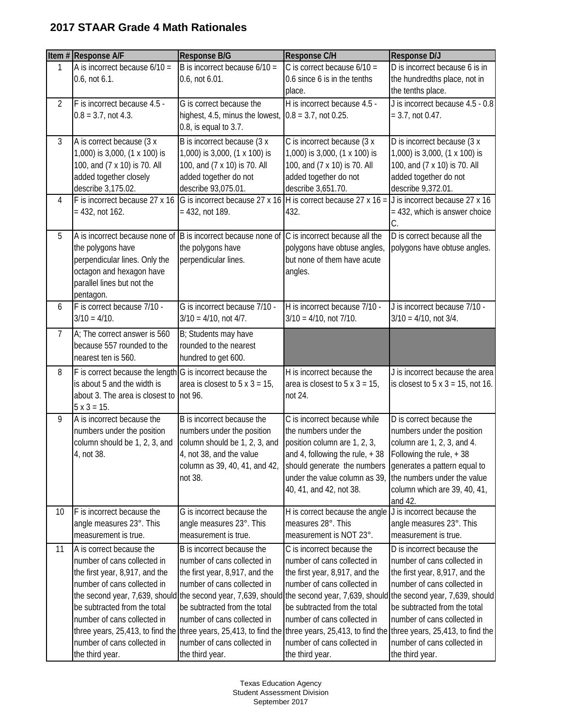## **2017 STAAR Grade 4 Math Rationales**

|    | Item # Response A/F                                            | <b>Response B/G</b>                                                                                                                                                | Response C/H                                                  | Response D/J                                                  |
|----|----------------------------------------------------------------|--------------------------------------------------------------------------------------------------------------------------------------------------------------------|---------------------------------------------------------------|---------------------------------------------------------------|
| 1  | A is incorrect because $6/10 =$                                | B is incorrect because $6/10 =$                                                                                                                                    | C is correct because $6/10 =$                                 | D is incorrect because 6 is in                                |
|    | $0.6$ , not $6.1$ .                                            | 0.6, not 6.01.                                                                                                                                                     | 0.6 since 6 is in the tenths                                  | the hundredths place, not in                                  |
|    |                                                                |                                                                                                                                                                    | place.                                                        | the tenths place.                                             |
| 2  | F is incorrect because 4.5 -                                   | G is correct because the                                                                                                                                           | H is incorrect because 4.5 -                                  | J is incorrect because 4.5 - 0.8                              |
|    | $0.8 = 3.7$ , not 4.3.                                         | highest, 4.5, minus the lowest,                                                                                                                                    | $0.8 = 3.7$ , not 0.25.                                       | $= 3.7$ , not 0.47.                                           |
|    |                                                                | 0.8, is equal to 3.7.                                                                                                                                              |                                                               |                                                               |
| 3  | A is correct because (3 x                                      | B is incorrect because (3 x                                                                                                                                        | C is incorrect because (3 x                                   | D is incorrect because (3 x                                   |
|    | 1,000) is 3,000, (1 x 100) is<br>100, and (7 x 10) is 70. All  | 1,000) is 3,000, (1 x 100) is<br>100, and (7 x 10) is 70. All                                                                                                      | 1,000) is 3,000, (1 x 100) is<br>100, and (7 x 10) is 70. All | 1,000) is 3,000, (1 x 100) is<br>100, and (7 x 10) is 70. All |
|    | added together closely                                         | added together do not                                                                                                                                              | added together do not                                         | added together do not                                         |
|    | describe 3,175.02.                                             | describe 93,075.01.                                                                                                                                                | describe 3,651.70.                                            | describe 9,372.01.                                            |
| 4  |                                                                | F is incorrect because 27 x 16 G is incorrect because 27 x 16 H is correct because 27 x 16 = J is incorrect because 27 x 16                                        |                                                               |                                                               |
|    | $= 432$ , not 162.                                             | $= 432$ , not 189.                                                                                                                                                 | 432.                                                          | = 432, which is answer choice                                 |
|    |                                                                |                                                                                                                                                                    |                                                               | C.                                                            |
| 5  |                                                                | A is incorrect because none of B is incorrect because none of C is incorrect because all the                                                                       |                                                               | D is correct because all the                                  |
|    | the polygons have                                              | the polygons have                                                                                                                                                  | polygons have obtuse angles,                                  | polygons have obtuse angles.                                  |
|    | perpendicular lines. Only the<br>octagon and hexagon have      | perpendicular lines.                                                                                                                                               | but none of them have acute<br>angles.                        |                                                               |
|    | parallel lines but not the                                     |                                                                                                                                                                    |                                                               |                                                               |
|    | pentagon.                                                      |                                                                                                                                                                    |                                                               |                                                               |
| 6  | F is correct because 7/10 -                                    | G is incorrect because 7/10 -                                                                                                                                      | H is incorrect because 7/10 -                                 | J is incorrect because 7/10 -                                 |
|    | $3/10 = 4/10$ .                                                | $3/10 = 4/10$ , not 4/7.                                                                                                                                           | $3/10 = 4/10$ , not 7/10.                                     | $3/10 = 4/10$ , not $3/4$ .                                   |
| 7  | A; The correct answer is 560                                   | B; Students may have                                                                                                                                               |                                                               |                                                               |
|    | because 557 rounded to the                                     | rounded to the nearest                                                                                                                                             |                                                               |                                                               |
|    | nearest ten is 560.                                            | hundred to get 600.                                                                                                                                                |                                                               |                                                               |
| 8  | $F$ is correct because the length $G$ is incorrect because the |                                                                                                                                                                    | H is incorrect because the                                    | J is incorrect because the area                               |
|    | is about 5 and the width is                                    | area is closest to $5 \times 3 = 15$ ,                                                                                                                             | area is closest to $5 \times 3 = 15$ ,                        | is closest to $5 \times 3 = 15$ , not 16.                     |
|    | about 3. The area is closest to                                | not 96.                                                                                                                                                            | not 24.                                                       |                                                               |
| 9  | $5 \times 3 = 15.$<br>A is incorrect because the               | B is incorrect because the                                                                                                                                         | C is incorrect because while                                  | D is correct because the                                      |
|    | numbers under the position                                     | numbers under the position                                                                                                                                         | the numbers under the                                         | numbers under the position                                    |
|    | column should be 1, 2, 3, and                                  | column should be 1, 2, 3, and                                                                                                                                      | position column are 1, 2, 3,                                  | column are 1, 2, 3, and 4.                                    |
|    | 4, not 38.                                                     | 4, not 38, and the value                                                                                                                                           | and 4, following the rule, $+38$                              | Following the rule, +38                                       |
|    |                                                                | column as 39, 40, 41, and 42,                                                                                                                                      | should generate the numbers generates a pattern equal to      |                                                               |
|    |                                                                | not 38.                                                                                                                                                            | under the value column as 39,                                 | the numbers under the value                                   |
|    |                                                                |                                                                                                                                                                    | 40, 41, and 42, not 38.                                       | column which are 39, 40, 41,                                  |
| 10 | F is incorrect because the                                     | G is incorrect because the                                                                                                                                         | H is correct because the angle                                | and 42.<br>J is incorrect because the                         |
|    | angle measures 23°. This                                       | angle measures 23°. This                                                                                                                                           | measures 28°. This                                            | angle measures 23°. This                                      |
|    | measurement is true.                                           | measurement is true.                                                                                                                                               | measurement is NOT 23°.                                       | measurement is true.                                          |
| 11 | A is correct because the                                       | B is incorrect because the                                                                                                                                         | C is incorrect because the                                    | D is incorrect because the                                    |
|    | number of cans collected in                                    | number of cans collected in                                                                                                                                        | number of cans collected in                                   | number of cans collected in                                   |
|    | the first year, 8,917, and the                                 | the first year, 8,917, and the                                                                                                                                     | the first year, 8,917, and the                                | the first year, 8,917, and the                                |
|    | number of cans collected in                                    | number of cans collected in                                                                                                                                        | number of cans collected in                                   | number of cans collected in                                   |
|    |                                                                | the second year, 7,639, should the second year, 7,639, should the second year, 7,639, should the second year, 7,639, should                                        |                                                               |                                                               |
|    | be subtracted from the total                                   | be subtracted from the total                                                                                                                                       | be subtracted from the total                                  | be subtracted from the total                                  |
|    | number of cans collected in                                    | number of cans collected in                                                                                                                                        | number of cans collected in                                   | number of cans collected in                                   |
|    | number of cans collected in                                    | three years, 25,413, to find the three years, 25,413, to find the three years, 25,413, to find the three years, 25,413, to find the<br>number of cans collected in | number of cans collected in                                   | number of cans collected in                                   |
|    | the third year.                                                | the third year.                                                                                                                                                    | the third year.                                               | the third year.                                               |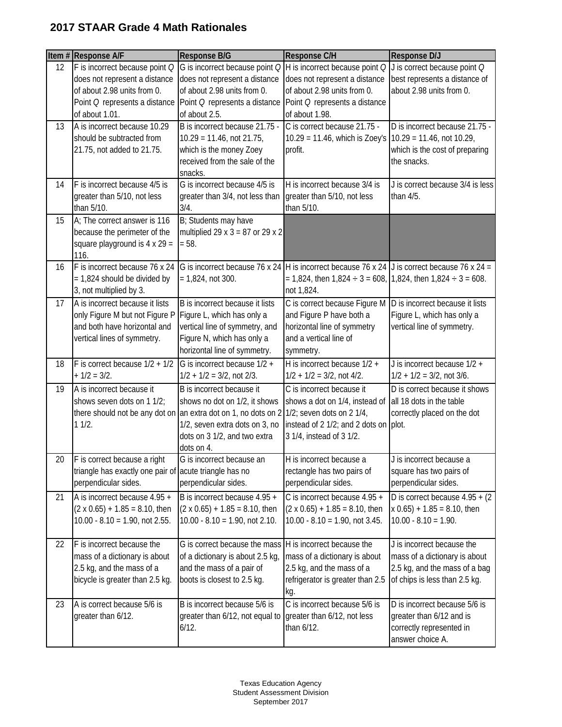## **2017 STAAR Grade 4 Math Rationales**

|    | Item # Response A/F                                                  | Response B/G                                                   | Response C/H                                                                                     | Response D/J                                         |
|----|----------------------------------------------------------------------|----------------------------------------------------------------|--------------------------------------------------------------------------------------------------|------------------------------------------------------|
| 12 | F is incorrect because point Q                                       |                                                                | G is incorrect because point $Q$ H is incorrect because point $Q$ J is correct because point $Q$ |                                                      |
|    | does not represent a distance                                        | does not represent a distance                                  | does not represent a distance                                                                    | best represents a distance of                        |
|    | of about 2.98 units from 0.                                          | of about 2.98 units from 0.                                    | of about 2.98 units from 0.                                                                      | about 2.98 units from 0.                             |
|    | Point Q represents a distance<br>of about 1.01.                      | Point Q represents a distance<br>of about 2.5.                 | Point Q represents a distance<br>of about 1.98.                                                  |                                                      |
| 13 | A is incorrect because 10.29                                         | B is incorrect because 21.75 -                                 | C is correct because 21.75 -                                                                     | D is incorrect because 21.75 -                       |
|    | should be subtracted from                                            | $10.29 = 11.46$ , not 21.75,                                   | $10.29 = 11.46$ , which is Zoey's                                                                | $10.29 = 11.46$ , not 10.29,                         |
|    | 21.75, not added to 21.75.                                           | which is the money Zoey                                        | profit.                                                                                          | which is the cost of preparing                       |
|    |                                                                      | received from the sale of the                                  |                                                                                                  | the snacks.                                          |
|    |                                                                      | snacks.                                                        |                                                                                                  |                                                      |
| 14 | F is incorrect because 4/5 is                                        | G is incorrect because 4/5 is                                  | H is incorrect because 3/4 is                                                                    | J is correct because 3/4 is less                     |
|    | greater than 5/10, not less                                          | greater than 3/4, not less than                                | greater than 5/10, not less                                                                      | than 4/5.                                            |
|    | than 5/10.                                                           | 3/4.                                                           | than 5/10.                                                                                       |                                                      |
| 15 | A; The correct answer is 116                                         | B; Students may have                                           |                                                                                                  |                                                      |
|    | because the perimeter of the<br>square playground is $4 \times 29 =$ | multiplied 29 x $3 = 87$ or 29 x 2<br>$= 58.$                  |                                                                                                  |                                                      |
|    | 116.                                                                 |                                                                |                                                                                                  |                                                      |
| 16 | F is incorrect because $76 \times 24$                                | G is incorrect because 76 x 24                                 | H is incorrect because 76 x 24 J is correct because 76 x 24 =                                    |                                                      |
|    | $= 1,824$ should be divided by                                       | $= 1,824$ , not 300.                                           | $= 1,824$ , then $1,824 \div 3 = 608$ , 1,824, then $1,824 \div 3 = 608$ .                       |                                                      |
|    | 3, not multiplied by 3.                                              |                                                                | not 1,824.                                                                                       |                                                      |
| 17 | A is incorrect because it lists                                      | B is incorrect because it lists                                | C is correct because Figure M                                                                    | D is incorrect because it lists                      |
|    | only Figure M but not Figure P                                       | Figure L, which has only a                                     | and Figure P have both a                                                                         | Figure L, which has only a                           |
|    | and both have horizontal and                                         | vertical line of symmetry, and                                 | horizontal line of symmetry                                                                      | vertical line of symmetry.                           |
|    | vertical lines of symmetry.                                          | Figure N, which has only a                                     | and a vertical line of                                                                           |                                                      |
| 18 | F is correct because $1/2 + 1/2$                                     | horizontal line of symmetry.<br>G is incorrect because 1/2 +   | symmetry.<br>H is incorrect because 1/2 +                                                        | J is incorrect because 1/2 +                         |
|    | $+ 1/2 = 3/2.$                                                       | $1/2 + 1/2 = 3/2$ , not 2/3.                                   | $1/2 + 1/2 = 3/2$ , not 4/2.                                                                     | $1/2 + 1/2 = 3/2$ , not 3/6.                         |
| 19 | A is incorrect because it                                            | B is incorrect because it                                      | C is incorrect because it                                                                        | D is correct because it shows                        |
|    | shows seven dots on 1 1/2;                                           | shows no dot on 1/2, it shows                                  | shows a dot on 1/4, instead of                                                                   | all 18 dots in the table                             |
|    |                                                                      | there should not be any dot on an extra dot on 1, no dots on 2 | 1/2; seven dots on 2 1/4,                                                                        | correctly placed on the dot                          |
|    | 11/2.                                                                | 1/2, seven extra dots on 3, no                                 | instead of 2 1/2; and 2 dots on plot.                                                            |                                                      |
|    |                                                                      | dots on 3 1/2, and two extra                                   | 3 1/4, instead of 3 1/2.                                                                         |                                                      |
|    |                                                                      | dots on 4.                                                     |                                                                                                  |                                                      |
| 20 | F is correct because a right                                         | G is incorrect because an                                      | H is incorrect because a                                                                         | J is incorrect because a                             |
|    | triangle has exactly one pair of<br>perpendicular sides.             | acute triangle has no<br>perpendicular sides.                  | rectangle has two pairs of<br>perpendicular sides.                                               | square has two pairs of<br>perpendicular sides.      |
| 21 | A is incorrect because 4.95 +                                        | B is incorrect because 4.95 +                                  | C is incorrect because 4.95 +                                                                    | D is correct because $4.95 + (2)$                    |
|    | $(2 \times 0.65) + 1.85 = 8.10$ , then                               | $(2 \times 0.65) + 1.85 = 8.10$ , then                         | $(2 \times 0.65) + 1.85 = 8.10$ , then                                                           | $x$ 0.65) + 1.85 = 8.10, then                        |
|    | $10.00 - 8.10 = 1.90$ , not 2.55.                                    | $10.00 - 8.10 = 1.90$ , not 2.10.                              | $10.00 - 8.10 = 1.90$ , not 3.45.                                                                | $10.00 - 8.10 = 1.90.$                               |
|    |                                                                      |                                                                |                                                                                                  |                                                      |
| 22 | F is incorrect because the                                           | G is correct because the mass                                  | H is incorrect because the                                                                       | J is incorrect because the                           |
|    | mass of a dictionary is about                                        | of a dictionary is about 2.5 kg,                               | mass of a dictionary is about                                                                    | mass of a dictionary is about                        |
|    | 2.5 kg, and the mass of a                                            | and the mass of a pair of                                      | 2.5 kg, and the mass of a                                                                        | 2.5 kg, and the mass of a bag                        |
|    | bicycle is greater than 2.5 kg.                                      | boots is closest to 2.5 kg.                                    | refrigerator is greater than 2.5                                                                 | of chips is less than 2.5 kg.                        |
|    |                                                                      |                                                                | kg.                                                                                              |                                                      |
| 23 | A is correct because 5/6 is<br>greater than 6/12.                    | B is incorrect because 5/6 is                                  | C is incorrect because 5/6 is                                                                    | D is incorrect because 5/6 is                        |
|    |                                                                      | greater than 6/12, not equal to<br>6/12.                       | greater than 6/12, not less<br>than 6/12.                                                        | greater than 6/12 and is<br>correctly represented in |
|    |                                                                      |                                                                |                                                                                                  | answer choice A.                                     |